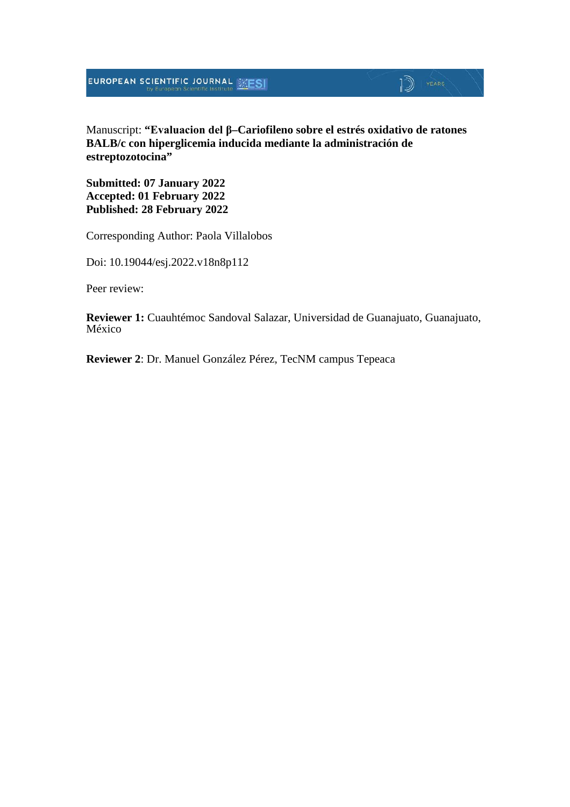## $\mathbb{D}$  YEARS

Manuscript: **"Evaluacion del β–Cariofileno sobre el estrés oxidativo de ratones BALB/c con hiperglicemia inducida mediante la administración de estreptozotocina"**

**Submitted: 07 January 2022 Accepted: 01 February 2022 Published: 28 February 2022**

Corresponding Author: Paola Villalobos

Doi: 10.19044/esj.2022.v18n8p112

Peer review:

**Reviewer 1:** Cuauhtémoc Sandoval Salazar, Universidad de Guanajuato, Guanajuato, México

**Reviewer 2**: Dr. Manuel González Pérez, TecNM campus Tepeaca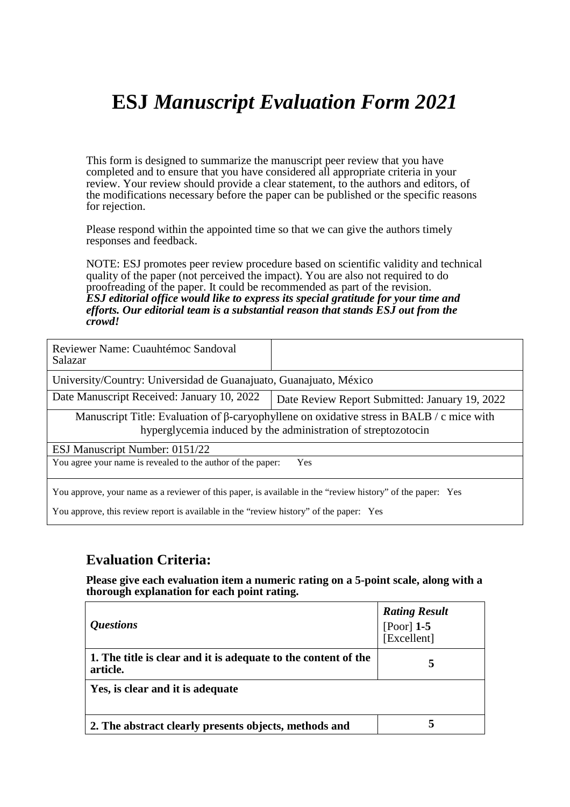## **ESJ** *Manuscript Evaluation Form 2021*

This form is designed to summarize the manuscript peer review that you have completed and to ensure that you have considered all appropriate criteria in your review. Your review should provide a clear statement, to the authors and editors, of the modifications necessary before the paper can be published or the specific reasons for rejection.

Please respond within the appointed time so that we can give the authors timely responses and feedback.

NOTE: ESJ promotes peer review procedure based on scientific validity and technical quality of the paper (not perceived the impact). You are also not required to do proofreading of the paper. It could be recommended as part of the revision. *ESJ editorial office would like to express its special gratitude for your time and efforts. Our editorial team is a substantial reason that stands ESJ out from the crowd!* 

| Reviewer Name: Cuauhtémoc Sandoval<br>Salazar                                                                                                                     |                                                |  |
|-------------------------------------------------------------------------------------------------------------------------------------------------------------------|------------------------------------------------|--|
| University/Country: Universidad de Guanajuato, Guanajuato, México                                                                                                 |                                                |  |
| Date Manuscript Received: January 10, 2022                                                                                                                        | Date Review Report Submitted: January 19, 2022 |  |
| Manuscript Title: Evaluation of $\beta$ -caryophyllene on oxidative stress in BALB / c mice with<br>hyperglycemia induced by the administration of streptozotocin |                                                |  |
| ESJ Manuscript Number: 0151/22                                                                                                                                    |                                                |  |
| You agree your name is revealed to the author of the paper:<br>Yes                                                                                                |                                                |  |
| You approve, your name as a reviewer of this paper, is available in the "review history" of the paper: Yes                                                        |                                                |  |

You approve, this review report is available in the "review history" of the paper: Yes

### **Evaluation Criteria:**

**Please give each evaluation item a numeric rating on a 5-point scale, along with a thorough explanation for each point rating.**

| <i><b>Questions</b></i>                                                    | <b>Rating Result</b><br>[Poor] $1-5$<br>[Excellent] |
|----------------------------------------------------------------------------|-----------------------------------------------------|
| 1. The title is clear and it is adequate to the content of the<br>article. | 5                                                   |
| Yes, is clear and it is adequate                                           |                                                     |
| 2. The abstract clearly presents objects, methods and                      | 5                                                   |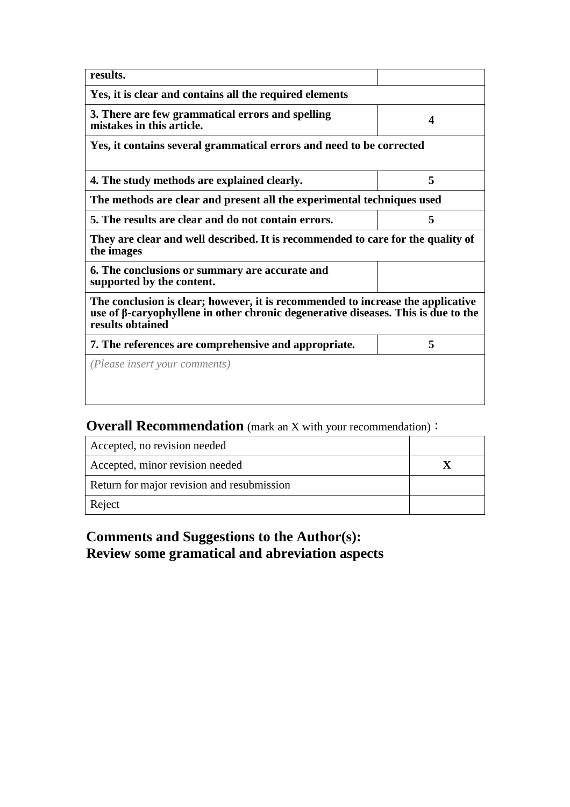| results.                                                                                                                                                                                 |   |  |
|------------------------------------------------------------------------------------------------------------------------------------------------------------------------------------------|---|--|
| Yes, it is clear and contains all the required elements                                                                                                                                  |   |  |
| 3. There are few grammatical errors and spelling<br>mistakes in this article.                                                                                                            | Δ |  |
| Yes, it contains several grammatical errors and need to be corrected                                                                                                                     |   |  |
| 4. The study methods are explained clearly.                                                                                                                                              | 5 |  |
| The methods are clear and present all the experimental techniques used                                                                                                                   |   |  |
| 5. The results are clear and do not contain errors.                                                                                                                                      | 5 |  |
| They are clear and well described. It is recommended to care for the quality of<br>the images                                                                                            |   |  |
| 6. The conclusions or summary are accurate and<br>supported by the content.                                                                                                              |   |  |
| The conclusion is clear; however, it is recommended to increase the applicative<br>use of β-caryophyllene in other chronic degenerative diseases. This is due to the<br>results obtained |   |  |
| 7. The references are comprehensive and appropriate.                                                                                                                                     | 5 |  |
| ( <i>Please insert your comments</i> )                                                                                                                                                   |   |  |
|                                                                                                                                                                                          |   |  |
|                                                                                                                                                                                          |   |  |

## **Overall Recommendation** (mark an X with your recommendation):

| Accepted, no revision needed               |  |
|--------------------------------------------|--|
| Accepted, minor revision needed            |  |
| Return for major revision and resubmission |  |
| Reject                                     |  |

### **Comments and Suggestions to the Author(s): Review some gramatical and abreviation aspects**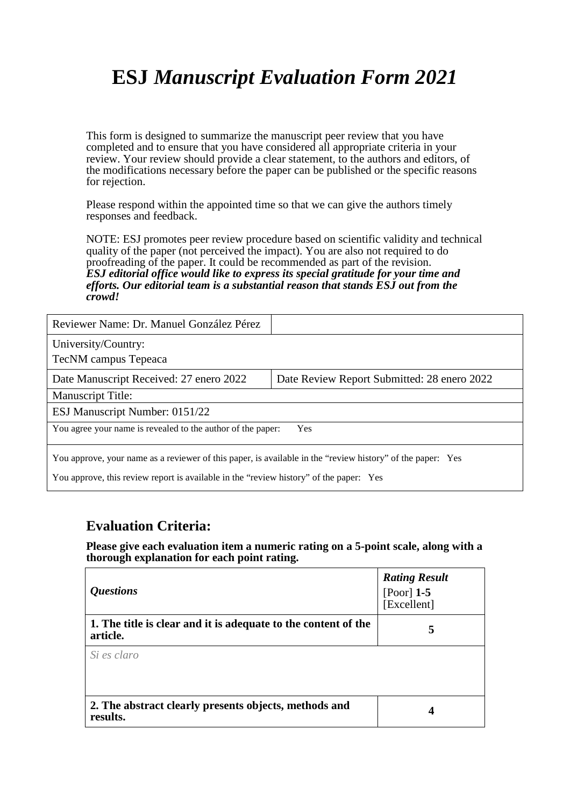# **ESJ** *Manuscript Evaluation Form 2021*

This form is designed to summarize the manuscript peer review that you have completed and to ensure that you have considered all appropriate criteria in your review. Your review should provide a clear statement, to the authors and editors, of the modifications necessary before the paper can be published or the specific reasons for rejection.

Please respond within the appointed time so that we can give the authors timely responses and feedback.

NOTE: ESJ promotes peer review procedure based on scientific validity and technical quality of the paper (not perceived the impact). You are also not required to do proofreading of the paper. It could be recommended as part of the revision. *ESJ editorial office would like to express its special gratitude for your time and efforts. Our editorial team is a substantial reason that stands ESJ out from the crowd!* 

| Reviewer Name: Dr. Manuel González Pérez                                                                                                                                                             |                                             |  |
|------------------------------------------------------------------------------------------------------------------------------------------------------------------------------------------------------|---------------------------------------------|--|
| University/Country:<br>TecNM campus Tepeaca                                                                                                                                                          |                                             |  |
| Date Manuscript Received: 27 enero 2022                                                                                                                                                              | Date Review Report Submitted: 28 enero 2022 |  |
| <b>Manuscript Title:</b>                                                                                                                                                                             |                                             |  |
| ESJ Manuscript Number: 0151/22                                                                                                                                                                       |                                             |  |
| You agree your name is revealed to the author of the paper:<br>Yes                                                                                                                                   |                                             |  |
| You approve, your name as a reviewer of this paper, is available in the "review history" of the paper: Yes<br>You approve, this review report is available in the "review history" of the paper: Yes |                                             |  |

#### **Evaluation Criteria:**

**Please give each evaluation item a numeric rating on a 5-point scale, along with a thorough explanation for each point rating.**

| <i><b>Questions</b></i>                                                    | <b>Rating Result</b><br>[Poor] $1-5$<br>[Excellent] |
|----------------------------------------------------------------------------|-----------------------------------------------------|
| 1. The title is clear and it is adequate to the content of the<br>article. | 5                                                   |
| Si es claro                                                                |                                                     |
| 2. The abstract clearly presents objects, methods and<br>results.          | 4                                                   |